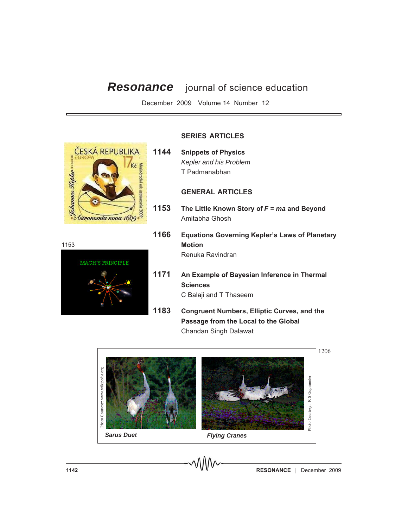# *Resonance* journal of science education

December 2009 Volume 14 Number 12



1153



## **SERIES ARTICLES**

**1144 Snippets of Physics** *Kepler and his Problem* T Padmanabhan

### **GENERAL ARTICLES**

- **1153 The Little Known Story of** *F* **=** *ma* **and Beyond** Amitabha Ghosh
- **1166 Equations Governing Kepler's Laws of Planetary Motion** Renuka Ravindran
- **1171 An Example of Bayesian Inference in Thermal Sciences** C Balaji and T Thaseem
- **1183 Congruent Numbers, Elliptic Curves, and the Passage from the Local to the Global** Chandan Singh Dalawat